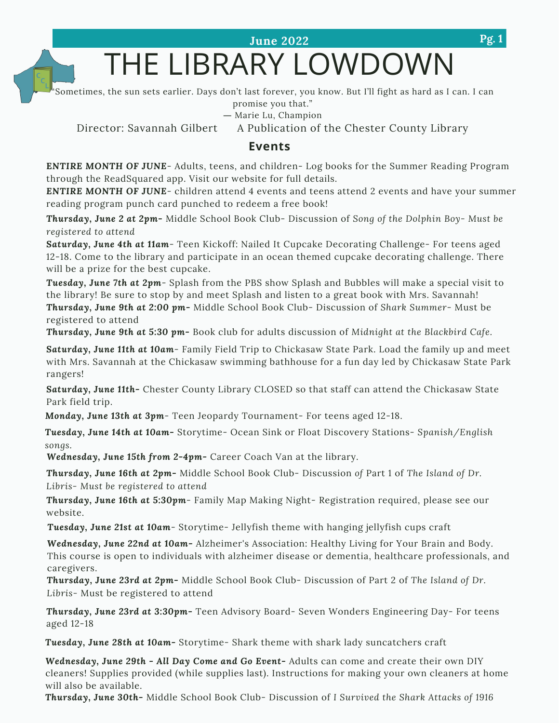**June 2022**

# THE LIBRARY LOWDOWN

Sometimes, the sun sets earlier. Days don't last forever, you know. But I'll fight as hard as I can. I can

promise you that."

― Marie Lu, [Champion](https://www.goodreads.com/work/quotes/19931517)

Director: Savannah Gilbert A Publication of the Chester County Library

# **Events**

**E***NTIRE MONTH OF JUNE*- Adults, teens, and children- Log books for the Summer Reading Program through the ReadSquared app. Visit our website for full details.

*ENTIRE MONTH OF JUNE*- children attend 4 events and teens attend 2 events and have your summer reading program punch card punched to redeem a free book!

*Thursday, June 2 at 2pm-* Middle School Book Club- Discussion of *Song of the Dolphin Boy- Must be registered to attend*

*Saturday, June 4th at 11am*- Teen Kickoff: Nailed It Cupcake Decorating Challenge- For teens aged 12-18. Come to the library and participate in an ocean themed cupcake decorating challenge. There will be a prize for the best cupcake.

*Tuesday, June 7th at 2pm*- Splash from the PBS show Splash and Bubbles will make a special visit to the library! Be sure to stop by and meet Splash and listen to a great book with Mrs. Savannah! *Thursday, June 9th at 2:00 pm-* Middle School Book Club- Discussion of *Shark Summer*- Must be registered to attend

*Thursday, June 9th at 5:30 pm-* Book club for adults discussion of *Midnight at the Blackbird Cafe.*

*Saturday, June 11th at 10am*- Family Field Trip to Chickasaw State Park. Load the family up and meet with Mrs. Savannah at the Chickasaw swimming bathhouse for a fun day led by Chickasaw State Park rangers!

*Saturday, June 11th-* Chester County Library CLOSED so that staff can attend the Chickasaw State Park field trip.

*Monday, June 13th at 3pm*- Teen Jeopardy Tournament- For teens aged 12-18.

*Tuesday, June 14th at 10am-* Storytime- Ocean Sink or Float Discovery Stations- *Spanish/English songs.*

*Wednesday, June 15th from 2-4pm-* Career Coach Van at the library.

*Thursday, June 16th at 2pm-* Middle School Book Club- Discussion *of* Part 1 of *The Island of Dr. Libris- Must be registered to attend*

*Thursday, June 16th at 5:30pm*- Family Map Making Night- Registration required, please see our website.

*Tuesday, June 21st at 10am*- Storytime- Jellyfish theme with hanging jellyfish cups craft

*Wednesday, June 22nd at 10am-* Alzheimer's Association: Healthy Living for Your Brain and Body. This course is open to individuals with alzheimer disease or dementia, healthcare professionals, and caregivers.

*Thursday, June 23rd at 2pm-* Middle School Book Club- Discussion of Part 2 of *The Island of Dr. Libris-* Must be registered to attend

*Thursday, June 23rd at 3:30pm-* Teen Advisory Board- Seven Wonders Engineering Day- For teens aged 12-18

*Tuesday, June 28th at 10am-* Storytime- Shark theme with shark lady suncatchers craft

*Wednesday, June 29th - All Day Come and Go Event-* Adults can come and create their own DIY cleaners! Supplies provided (while supplies last). Instructions for making your own cleaners at home will also be available.

*Thursday, June 30th-* Middle School Book Club- Discussion of *I Survived the Shark Attacks of 1916*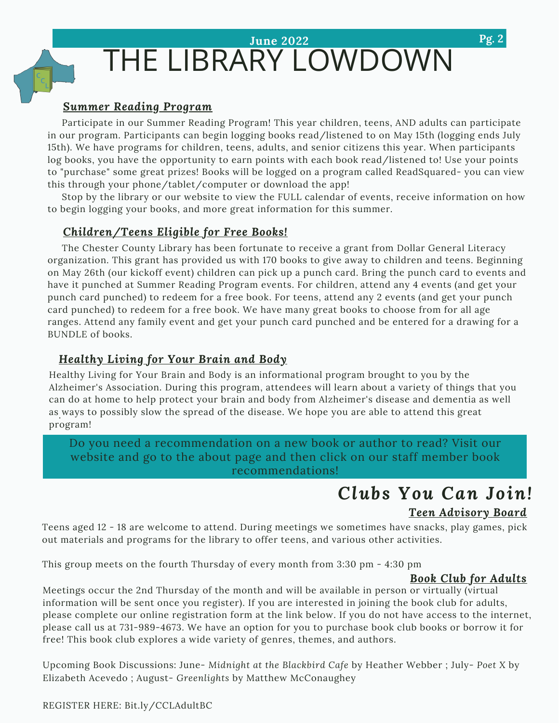# THE LIBRARY LOWDOWN **June 2022**

# *Summer Reading Program*

Participate in our Summer Reading Program! This year children, teens, AND adults can participate in our program. Participants can begin logging books read/listened to on May 15th (logging ends July 15th). We have programs for children, teens, adults, and senior citizens this year. When participants log books, you have the opportunity to earn points with each book read/listened to! Use your points to "purchase" some great prizes! Books will be logged on a program called ReadSquared- you can view this through your phone/tablet/computer or download the app!

Stop by the library or our website to view the FULL calendar of events, receive information on how to begin logging your books, and more great information for this summer.

# *Children/Teens Eligible for Free Books!*

The Chester County Library has been fortunate to receive a grant from Dollar General Literacy organization. This grant has provided us with 170 books to give away to children and teens. Beginning on May 26th (our kickoff event) children can pick up a punch card. Bring the punch card to events and have it punched at Summer Reading Program events. For children, attend any 4 events (and get your punch card punched) to redeem for a free book. For teens, attend any 2 events (and get your punch card punched) to redeem for a free book. We have many great books to choose from for all age ranges. Attend any family event and get your punch card punched and be entered for a drawing for a BUNDLE of books.

# *Healthy Living for Your Brain and Body*

. as ways to possibly slow the spread of the disease. We hope you are able to attend this great Healthy Living for Your Brain and Body is an informational program brought to you by the Alzheimer's Association. During this program, attendees will learn about a variety of things that you can do at home to help protect your brain and body from Alzheimer's disease and dementia as well program!

Do you need a recommendation on a new book or author to read? Visit our website and go to the about page and then click on our staff member book recommendations!

# *Clubs You Can Join!*

# *Teen Advisory Board*

Teens aged 12 - 18 are welcome to attend. During meetings we sometimes have snacks, play games, pick out materials and programs for the library to offer teens, and various other activities.

This group meets on the fourth Thursday of every month from 3:30 pm - 4:30 pm

# *Book Club for Adults*

Meetings occur the 2nd Thursday of the month and will be available in person or virtually (virtual information will be sent once you register). If you are interested in joining the book club for adults, please complete our online registration form at the link below. If you do not have access to the internet, please call us at 731-989-4673. We have an option for you to purchase book club books or borrow it for free! This book club explores a wide variety of genres, themes, and authors.

Upcoming Book Discussions: June- *Midnight at the Blackbird Cafe* by Heather Webber ; July- *Poet X* by Elizabeth Acevedo ; August- *Greenlights* by Matthew McConaughey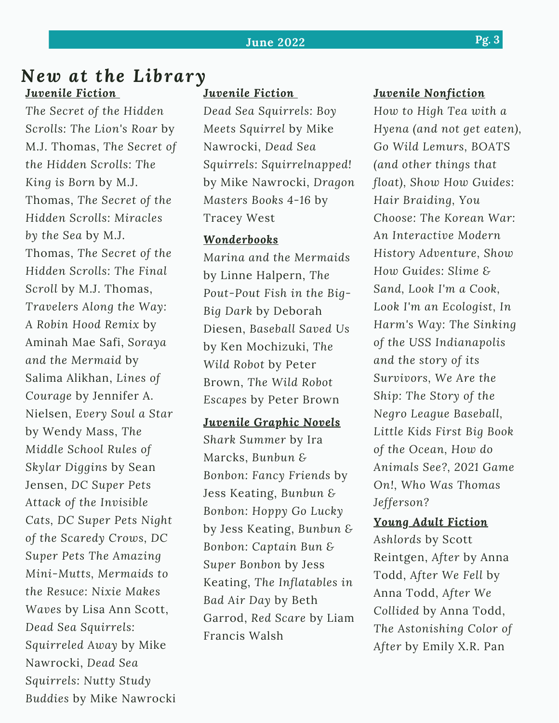# *New at the Library Juvenile Fiction*

*The Secret of the Hidden Scrolls: The Lion's Roar* by M.J. Thomas, *The Secret of the Hidden Scrolls: The King is Born* by M.J. Thomas, *The Secret of the Hidden Scrolls: Miracles by the Sea* by M.J. Thomas, *The Secret of the Hidden Scrolls: The Final Scroll* by M.J. Thomas, *Travelers Along the Way: A Robin Hood Remix* by Aminah Mae Safi, *Soraya and the Mermaid* by Salima Alikhan, *Lines of Courage* by Jennifer A. Nielsen, *Every Soul a Star* by Wendy Mass, *The Middle School Rules of Skylar Diggins* by Sean Jensen, *DC Super Pets Attack of the Invisible Cats, DC Super Pets Night of the Scaredy Crows, DC Super Pets The Amazing Mini-Mutts, Mermaids to the Resuce: Nixie Makes Waves* by Lisa Ann Scott, *Dead Sea Squirrels: Squirreled Away* by Mike Nawrocki, *Dead Sea Squirrels: Nutty Study Buddies* by Mike Nawrocki

# *Juvenile Fiction*

*Dead Sea Squirrels: Boy Meets Squirrel* by Mike Nawrocki, *Dead Sea Squirrels: Squirrelnapped!* by Mike Nawrocki, *Dragon Masters Books 4-16* by Tracey West

# *Wonderbooks*

*Marina and the Mermaids* by Linne Halpern, *The Pout-Pout Fish in the Big-Big Dark* by Deborah Diesen, *Baseball Saved Us* by Ken Mochizuki, *The Wild Robot* by Peter Brown, *The Wild Robot Escapes* by Peter Brown

*Juvenile Graphic Novels*

*Shark Summer* by Ira Marcks, *Bunbun & Bonbon: Fancy Friends* by Jess Keating, *Bunbun & Bonbon: Hoppy Go Lucky* by Jess Keating, *Bunbun & Bonbon: Captain Bun & Super Bonbon* by Jess Keating, *The Inflatables in Bad Air Day* by Beth Garrod, *Red Scare* by Liam Francis Walsh

# *Juvenile Nonfiction*

*How to High Tea with a Hyena (and not get eaten), Go Wild Lemurs, BOATS (and other things that float), Show How Guides: Hair Braiding, You Choose: The Korean War: An Interactive Modern History Adventure, Show How Guides: Slime & Sand, Look I'm a Cook, Look I'm an Ecologist, In Harm's Way: The Sinking of the USS Indianapolis and the story of its Survivors, We Are the Ship: The Story of the Negro League Baseball, Little Kids First Big Book of the Ocean, How do Animals See?, 2021 Game On!, Who Was Thomas Jefferson?*

# *Young Adult Fiction*

*Ashlords* by Scott Reintgen, *After* by Anna Todd, *After We Fell* by Anna Todd, *After We Collided* by Anna Todd, *The Astonishing Color of After* by Emily X.R. Pan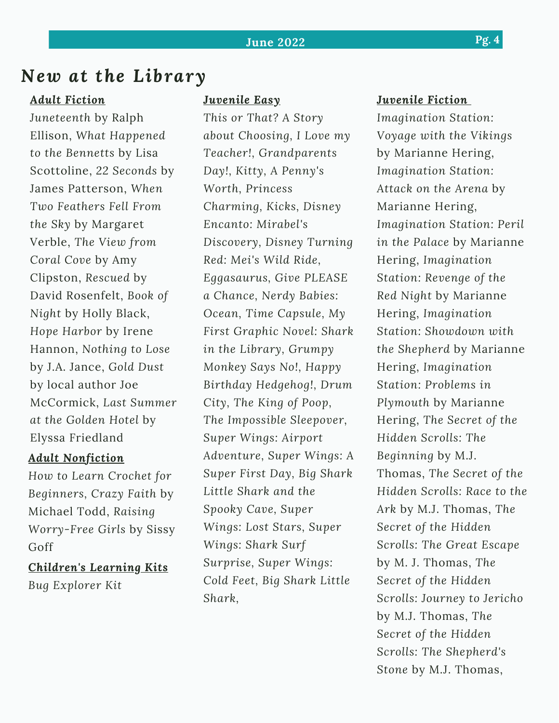# *New at the Library*

## *Adult Fiction*

*Juneteenth* by Ralph Ellison, *What Happened to the Bennetts* by Lisa Scottoline, *22 Seconds* by James Patterson, *When Two Feathers Fell From the Sky* by Margaret Verble, *The View from Coral Cove* by Amy Clipston, *Rescued* by David Rosenfelt, *Book of Night* by Holly Black, *Hope Harbor* by Irene Hannon, *Nothing to Lose* by J.A. Jance, *Gold Dust* by local author Joe McCormick, *Last Summer at the Golden Hotel* by Elyssa Friedland

### *Adult Nonfiction*

*How to Learn Crochet for Beginners, Crazy Faith* by Michael Todd, *Raising Worry-Free Girls* by Sissy Goff

*Children's Learning Kits Bug Explorer Kit*

# *Juvenile Easy*

*This or That? A Story about Choosing, I Love my Teacher!, Grandparents Day!, Kitty, A Penny's Worth, Princess Charming, Kicks, Disney Encanto: Mirabel's Discovery, Disney Turning Red: Mei's Wild Ride, Eggasaurus, Give PLEASE a Chance, Nerdy Babies: Ocean, Time Capsule, My First Graphic Novel: Shark in the Library, Grumpy Monkey Says No!, Happy Birthday Hedgehog!, Drum City, The King of Poop, The Impossible Sleepover, Super Wings: Airport Adventure, Super Wings: A Super First Day, Big Shark Little Shark and the Spooky Cave, Super Wings: Lost Stars, Super Wings: Shark Surf Surprise, Super Wings: Cold Feet, Big Shark Little Shark,*

## *Juvenile Fiction*

*Imagination Station: Voyage with the Vikings* by Marianne Hering, *Imagination Station: Attack on the Arena* by Marianne Hering, *Imagination Station: Peril in the Palace* by Marianne Hering, *Imagination Station: Revenge of the Red Night* by Marianne Hering, *Imagination Station: Showdown with the Shepherd* by Marianne Hering, *Imagination Station: Problems in Plymouth* by Marianne Hering, *The Secret of the Hidden Scrolls: The Beginning* by M.J. Thomas, *The Secret of the Hidden Scrolls: Race to the Ark* by M.J. Thomas, *The Secret of the Hidden Scrolls: The Great Escape* by M. J. Thomas, *The Secret of the Hidden Scrolls: Journey to Jericho* by M.J. Thomas, *The Secret of the Hidden Scrolls: The Shepherd's Stone* by M.J. Thomas,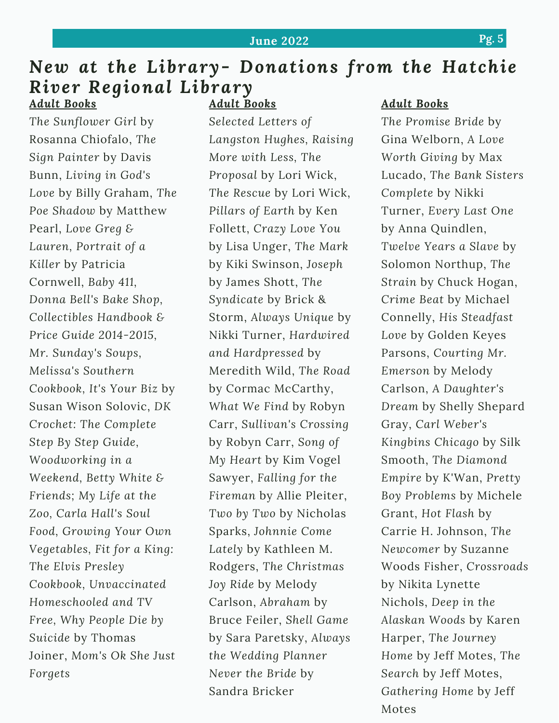# **June 2022 Pg. 5**

#### *New at the Library- Donations from the Hatchie River Regional Library Adult Books Adult Books Adult Books*

*The Sunflower Girl* by Rosanna Chiofalo, *The Sign Painter* by Davis Bunn, *Living in God's Love* by Billy Graham, *The Poe Shadow* by Matthew Pearl, *Love Greg & Lauren, Portrait of a Killer* by Patricia Cornwell, *Baby 411, Donna Bell's Bake Shop, Collectibles Handbook & Price Guide 2014-2015, Mr. Sunday's Soups, Melissa's Southern Cookbook, It's Your Biz* by Susan Wison Solovic, *DK Crochet: The Complete Step By Step Guide, Woodworking in a Weekend, Betty White & Friends; My Life at the Zoo, Carla Hall's Soul Food, Growing Your Own Vegetables, Fit for a King: The Elvis Presley Cookbook, Unvaccinated Homeschooled and TV Free, Why People Die by Suicide* by Thomas Joiner, *Mom's Ok She Just Forgets*

*Selected Letters of Langston Hughes, Raising More with Less, The Proposal* by Lori Wick, *The Rescue* by Lori Wick, *Pillars of Earth* by Ken Follett, *Crazy Love You* by Lisa Unger, *The Mark* by Kiki Swinson, *Joseph* by James Shott, *The Syndicate* by Brick & Storm, *Always Unique* by Nikki Turner, *Hardwired and Hardpressed* by Meredith Wild, *The Road* by Cormac McCarthy, *What We Find* by Robyn Carr, *Sullivan's Crossing* by Robyn Carr, *Song of My Heart* by Kim Vogel Sawyer, *Falling for the Fireman* by Allie Pleiter, *Two by Two* by Nicholas Sparks, *Johnnie Come Lately* by Kathleen M. Rodgers, *The Christmas Joy Ride* by Melody Carlson, *Abraham* by Bruce Feiler, *Shell Game* by Sara Paretsky, *Always the Wedding Planner Never the Bride* by Sandra Bricker

*The Promise Bride* by Gina Welborn, *A Love Worth Giving* by Max Lucado, *The Bank Sisters Complete* by Nikki Turner, *Every Last One* by Anna Quindlen, *Twelve Years a Slave* by Solomon Northup, *The Strain* by Chuck Hogan, *Crime Beat* by Michael Connelly, *His Steadfast Love* by Golden Keyes Parsons, *Courting Mr. Emerson* by Melody Carlson, *A Daughter's Dream* by Shelly Shepard Gray, *Carl Weber's Kingbins Chicago* by Silk Smooth, *The Diamond Empire* by K'Wan, *Pretty Boy Problems* by Michele Grant, *Hot Flash* by Carrie H. Johnson, *The Newcomer* by Suzanne Woods Fisher, *Crossroads* by Nikita Lynette Nichols, *Deep in the Alaskan Woods* by Karen Harper, *The Journey Home* by Jeff Motes, *The Search* by Jeff Motes, *Gathering Home* by Jeff Motes